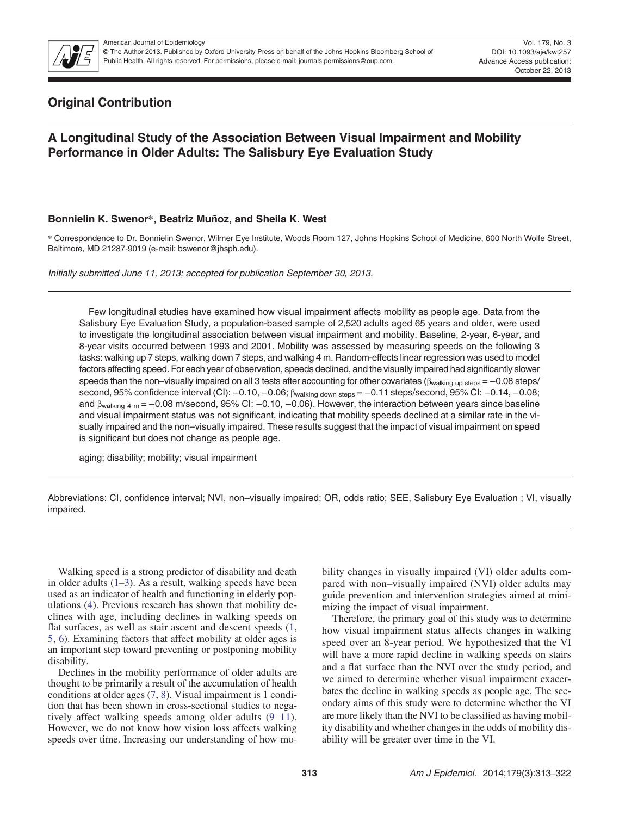

Public Health. All rights reserved. For permissions, please e-mail: journals.permissions@oup.com.

# Original Contribution

# A Longitudinal Study of the Association Between Visual Impairment and Mobility Performance in Older Adults: The Salisbury Eye Evaluation Study

## Bonnielin K. Swenor\*, Beatriz Muñoz, and Sheila K. West

\* Correspondence to Dr. Bonnielin Swenor, Wilmer Eye Institute, Woods Room 127, Johns Hopkins School of Medicine, 600 North Wolfe Street, Baltimore, MD 21287-9019 (e-mail: bswenor@jhsph.edu).

Initially submitted June 11, 2013; accepted for publication September 30, 2013.

Few longitudinal studies have examined how visual impairment affects mobility as people age. Data from the Salisbury Eye Evaluation Study, a population-based sample of 2,520 adults aged 65 years and older, were used to investigate the longitudinal association between visual impairment and mobility. Baseline, 2-year, 6-year, and 8-year visits occurred between 1993 and 2001. Mobility was assessed by measuring speeds on the following 3 tasks: walking up 7 steps, walking down 7 steps, and walking 4 m. Random-effects linear regression was used to model factors affecting speed. For each year of observation, speeds declined, and the visually impaired had significantly slower speeds than the non–visually impaired on all 3 tests after accounting for other covariates ( $\beta_{\text{walking up steps}} = -0.08$  steps/ second, 95% confidence interval (CI): −0.10, −0.06; β<sub>walking down steps</sub> = −0.11 steps/second, 95% CI: −0.14, −0.08; and  $\beta_{\text{walking 4 m}} = -0.08$  m/second, 95% CI: -0.10, -0.06). However, the interaction between years since baseline and visual impairment status was not significant, indicating that mobility speeds declined at a similar rate in the visually impaired and the non–visually impaired. These results suggest that the impact of visual impairment on speed is significant but does not change as people age.

aging; disability; mobility; visual impairment

Abbreviations: CI, confidence interval; NVI, non–visually impaired; OR, odds ratio; SEE, Salisbury Eye Evaluation ; VI, visually impaired.

Walking speed is a strong predictor of disability and death in older adults [\(1](#page-8-0)–[3](#page-8-0)). As a result, walking speeds have been used as an indicator of health and functioning in elderly populations ([4](#page-8-0)). Previous research has shown that mobility declines with age, including declines in walking speeds on flat surfaces, as well as stair ascent and descent speeds [\(1,](#page-8-0) [5](#page-8-0), [6](#page-8-0)). Examining factors that affect mobility at older ages is an important step toward preventing or postponing mobility disability.

Declines in the mobility performance of older adults are thought to be primarily a result of the accumulation of health conditions at older ages ([7](#page-8-0), [8](#page-8-0)). Visual impairment is 1 condition that has been shown in cross-sectional studies to negatively affect walking speeds among older adults [\(9](#page-8-0)–[11](#page-8-0)). However, we do not know how vision loss affects walking speeds over time. Increasing our understanding of how mobility changes in visually impaired (VI) older adults compared with non–visually impaired (NVI) older adults may guide prevention and intervention strategies aimed at minimizing the impact of visual impairment.

Therefore, the primary goal of this study was to determine how visual impairment status affects changes in walking speed over an 8-year period. We hypothesized that the VI will have a more rapid decline in walking speeds on stairs and a flat surface than the NVI over the study period, and we aimed to determine whether visual impairment exacerbates the decline in walking speeds as people age. The secondary aims of this study were to determine whether the VI are more likely than the NVI to be classified as having mobility disability and whether changes in the odds of mobility disability will be greater over time in the VI.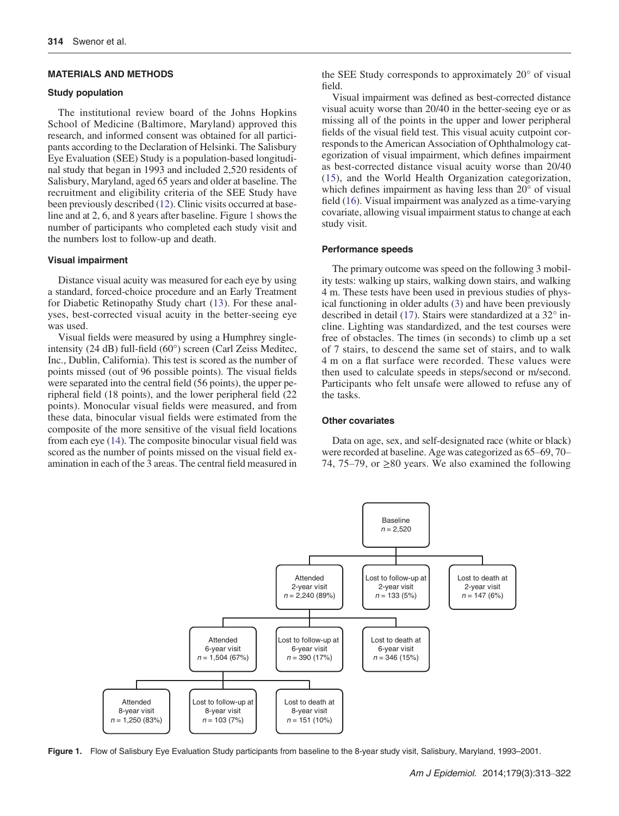### MATERIALS AND METHODS

### Study population

The institutional review board of the Johns Hopkins School of Medicine (Baltimore, Maryland) approved this research, and informed consent was obtained for all participants according to the Declaration of Helsinki. The Salisbury Eye Evaluation (SEE) Study is a population-based longitudinal study that began in 1993 and included 2,520 residents of Salisbury, Maryland, aged 65 years and older at baseline. The recruitment and eligibility criteria of the SEE Study have been previously described ([12\)](#page-8-0). Clinic visits occurred at baseline and at 2, 6, and 8 years after baseline. Figure 1 shows the number of participants who completed each study visit and the numbers lost to follow-up and death.

### Visual impairment

Distance visual acuity was measured for each eye by using a standard, forced-choice procedure and an Early Treatment for Diabetic Retinopathy Study chart ([13\)](#page-8-0). For these analyses, best-corrected visual acuity in the better-seeing eye was used.

Visual fields were measured by using a Humphrey singleintensity (24 dB) full-field (60°) screen (Carl Zeiss Meditec, Inc., Dublin, California). This test is scored as the number of points missed (out of 96 possible points). The visual fields were separated into the central field (56 points), the upper peripheral field (18 points), and the lower peripheral field (22 points). Monocular visual fields were measured, and from these data, binocular visual fields were estimated from the composite of the more sensitive of the visual field locations from each eye ([14\)](#page-8-0). The composite binocular visual field was scored as the number of points missed on the visual field examination in each of the 3 areas. The central field measured in

the SEE Study corresponds to approximately 20° of visual field.

Visual impairment was defined as best-corrected distance visual acuity worse than 20/40 in the better-seeing eye or as missing all of the points in the upper and lower peripheral fields of the visual field test. This visual acuity cutpoint corresponds to the American Association of Ophthalmology categorization of visual impairment, which defines impairment as best-corrected distance visual acuity worse than 20/40 [\(15\)](#page-8-0), and the World Health Organization categorization, which defines impairment as having less than 20° of visual field ([16\)](#page-8-0). Visual impairment was analyzed as a time-varying covariate, allowing visual impairment status to change at each study visit.

#### Performance speeds

The primary outcome was speed on the following 3 mobility tests: walking up stairs, walking down stairs, and walking 4 m. These tests have been used in previous studies of physical functioning in older adults [\(3](#page-8-0)) and have been previously described in detail [\(17](#page-8-0)). Stairs were standardized at a 32° incline. Lighting was standardized, and the test courses were free of obstacles. The times (in seconds) to climb up a set of 7 stairs, to descend the same set of stairs, and to walk 4 m on a flat surface were recorded. These values were then used to calculate speeds in steps/second or m/second. Participants who felt unsafe were allowed to refuse any of the tasks.

#### Other covariates

Data on age, sex, and self-designated race (white or black) were recorded at baseline. Age was categorized as 65–69, 70– 74, 75–79, or  $\geq$ 80 years. We also examined the following



Figure 1. Flow of Salisbury Eye Evaluation Study participants from baseline to the 8-year study visit, Salisbury, Maryland, 1993–2001.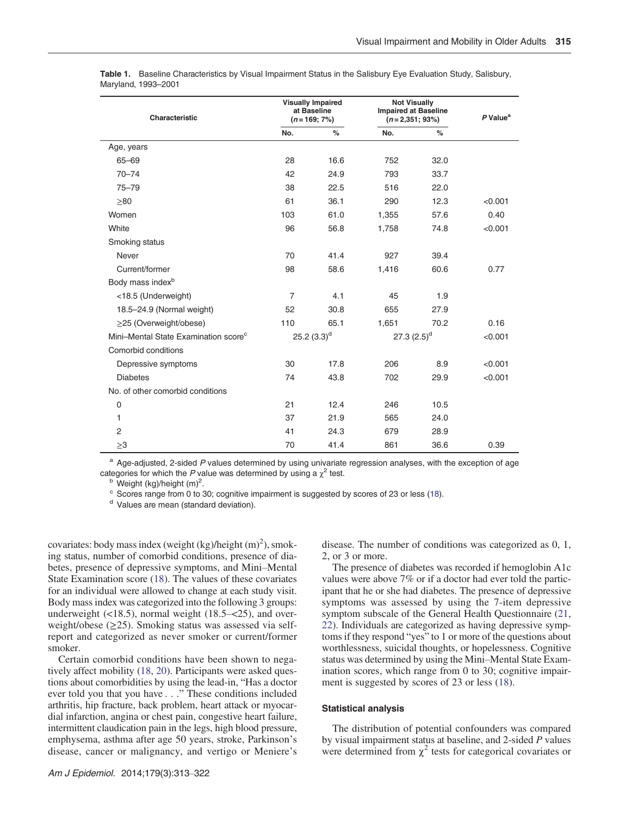| Characteristic                                   |                | <b>Visually Impaired</b><br>at Baseline<br>$(n=169; 7%)$ | <b>Not Visually</b><br><b>Impaired at Baseline</b><br>$(n=2,351; 93\%)$ |      | P Value <sup>a</sup> |
|--------------------------------------------------|----------------|----------------------------------------------------------|-------------------------------------------------------------------------|------|----------------------|
|                                                  | No.            | $\%$                                                     | No.                                                                     | $\%$ |                      |
| Age, years                                       |                |                                                          |                                                                         |      |                      |
| $65 - 69$                                        | 28             | 16.6                                                     | 752                                                                     | 32.0 |                      |
| $70 - 74$                                        | 42             | 24.9                                                     | 793                                                                     | 33.7 |                      |
| $75 - 79$                                        | 38             | 22.5                                                     | 516                                                                     | 22.0 |                      |
| >80                                              | 61             | 36.1                                                     | 290                                                                     | 12.3 | < 0.001              |
| Women                                            | 103            | 61.0                                                     | 1,355                                                                   | 57.6 | 0.40                 |
| White                                            | 96             | 56.8                                                     | 1,758                                                                   | 74.8 | < 0.001              |
| Smoking status                                   |                |                                                          |                                                                         |      |                      |
| Never                                            | 70             | 41.4                                                     | 927                                                                     | 39.4 |                      |
| Current/former                                   | 98             | 58.6                                                     | 1,416                                                                   | 60.6 | 0.77                 |
| Body mass index <sup>b</sup>                     |                |                                                          |                                                                         |      |                      |
| <18.5 (Underweight)                              | $\overline{7}$ | 4.1                                                      | 45                                                                      | 1.9  |                      |
| 18.5-24.9 (Normal weight)                        | 52             | 30.8                                                     | 655                                                                     | 27.9 |                      |
| ≥25 (Overweight/obese)                           | 110            | 65.1                                                     | 1,651                                                                   | 70.2 | 0.16                 |
| Mini-Mental State Examination score <sup>c</sup> |                | 25.2 $(3.3)^d$                                           | 27.3 $(2.5)^d$                                                          |      | < 0.001              |
| Comorbid conditions                              |                |                                                          |                                                                         |      |                      |
| Depressive symptoms                              | 30             | 17.8                                                     | 206                                                                     | 8.9  | < 0.001              |
| <b>Diabetes</b>                                  | 74             | 43.8                                                     | 702                                                                     | 29.9 | < 0.001              |
| No. of other comorbid conditions                 |                |                                                          |                                                                         |      |                      |
| $\mathbf 0$                                      | 21             | 12.4                                                     | 246                                                                     | 10.5 |                      |
| 1                                                | 37             | 21.9                                                     | 565                                                                     | 24.0 |                      |
| 2                                                | 41             | 24.3                                                     | 679                                                                     | 28.9 |                      |
| $\geq 3$                                         | 70             | 41.4                                                     | 861                                                                     | 36.6 | 0.39                 |

<span id="page-2-0"></span>Table 1. Baseline Characteristics by Visual Impairment Status in the Salisbury Eye Evaluation Study, Salisbury, Maryland, 1993–2001

a Age-adjusted, 2-sided P values determined by using univariate regression analyses, with the exception of age categories for which the P value was determined by using a  $\chi^2$  test.

<sup>b</sup> Weight (kg)/height (m)<sup>2</sup>.

<sup>c</sup> Scores range from 0 to 30; cognitive impairment is suggested by scores of 23 or less [\(18](#page-8-0)). d Values are mean (standard deviation).

covariates: body mass index (weight  $(kg)/height (m)<sup>2</sup>$ ), smoking status, number of comorbid conditions, presence of diabetes, presence of depressive symptoms, and Mini–Mental State Examination score ([18\)](#page-8-0). The values of these covariates for an individual were allowed to change at each study visit. Body mass index was categorized into the following 3 groups: underweight  $(\langle 18.5 \rangle)$ , normal weight  $(18.5 - \langle 25 \rangle)$ , and overweight/obese  $(\geq 25)$ . Smoking status was assessed via selfreport and categorized as never smoker or current/former smoker.

Certain comorbid conditions have been shown to negatively affect mobility ([18,](#page-8-0) [20\)](#page-8-0). Participants were asked questions about comorbidities by using the lead-in, "Has a doctor ever told you that you have . . ." These conditions included arthritis, hip fracture, back problem, heart attack or myocardial infarction, angina or chest pain, congestive heart failure, intermittent claudication pain in the legs, high blood pressure, emphysema, asthma after age 50 years, stroke, Parkinson's disease, cancer or malignancy, and vertigo or Meniere's

disease. The number of conditions was categorized as 0, 1, 2, or 3 or more.

The presence of diabetes was recorded if hemoglobin A1c values were above 7% or if a doctor had ever told the participant that he or she had diabetes. The presence of depressive symptoms was assessed by using the 7-item depressive symptom subscale of the General Health Questionnaire [\(21](#page-9-0), [22](#page-9-0)). Individuals are categorized as having depressive symptoms if they respond "yes" to 1 or more of the questions about worthlessness, suicidal thoughts, or hopelessness. Cognitive status was determined by using the Mini–Mental State Examination scores, which range from 0 to 30; cognitive impairment is suggested by scores of 23 or less [\(18](#page-8-0)).

#### Statistical analysis

The distribution of potential confounders was compared by visual impairment status at baseline, and 2-sided P values were determined from  $\chi^2$  tests for categorical covariates or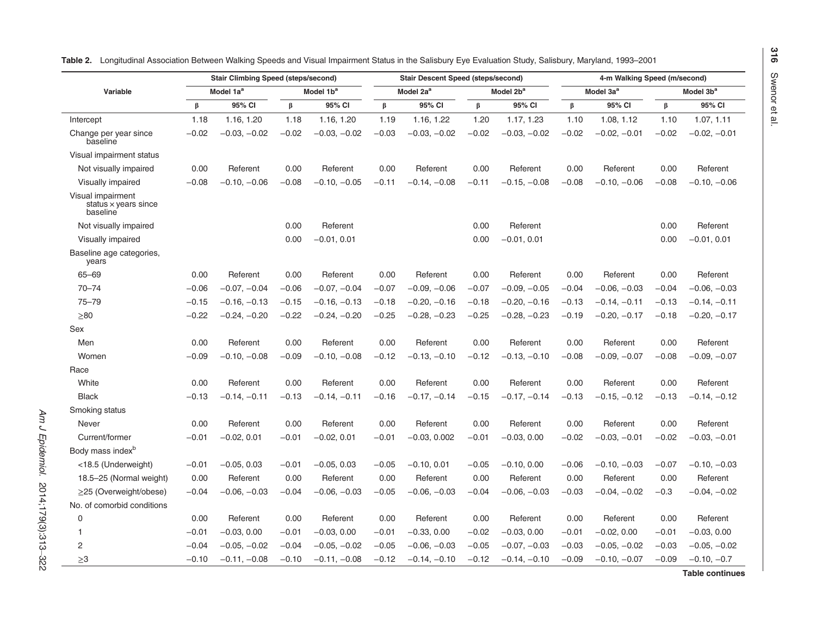|                                                              |         | <b>Stair Climbing Speed (steps/second)</b> |         |                       |         | <b>Stair Descent Speed (steps/second)</b> |         |                       |         | 4-m Walking Speed (m/second) |         |                       |
|--------------------------------------------------------------|---------|--------------------------------------------|---------|-----------------------|---------|-------------------------------------------|---------|-----------------------|---------|------------------------------|---------|-----------------------|
| Variable                                                     |         | Model 1a <sup>a</sup>                      |         | Model 1b <sup>a</sup> |         | Model 2a <sup>a</sup>                     |         | Model 2b <sup>a</sup> |         | Model 3a <sup>a</sup>        |         | Model 3b <sup>a</sup> |
|                                                              | $\beta$ | 95% CI                                     | $\beta$ | 95% CI                | $\beta$ | 95% CI                                    | $\beta$ | 95% CI                | $\beta$ | 95% CI                       | $\beta$ | 95% CI                |
| Intercept                                                    | 1.18    | 1.16, 1.20                                 | 1.18    | 1.16, 1.20            | 1.19    | 1.16, 1.22                                | 1.20    | 1.17, 1.23            | 1.10    | 1.08, 1.12                   | 1.10    | 1.07, 1.11            |
| Change per year since<br>baseline                            | $-0.02$ | $-0.03, -0.02$                             | $-0.02$ | $-0.03, -0.02$        | $-0.03$ | $-0.03, -0.02$                            | $-0.02$ | $-0.03, -0.02$        | $-0.02$ | $-0.02, -0.01$               | $-0.02$ | $-0.02, -0.01$        |
| Visual impairment status                                     |         |                                            |         |                       |         |                                           |         |                       |         |                              |         |                       |
| Not visually impaired                                        | 0.00    | Referent                                   | 0.00    | Referent              | 0.00    | Referent                                  | 0.00    | Referent              | 0.00    | Referent                     | 0.00    | Referent              |
| Visually impaired                                            | $-0.08$ | $-0.10, -0.06$                             | $-0.08$ | $-0.10, -0.05$        | $-0.11$ | $-0.14, -0.08$                            | $-0.11$ | $-0.15, -0.08$        | $-0.08$ | $-0.10, -0.06$               | $-0.08$ | $-0.10, -0.06$        |
| Visual impairment<br>status $\times$ years since<br>baseline |         |                                            |         |                       |         |                                           |         |                       |         |                              |         |                       |
| Not visually impaired                                        |         |                                            | 0.00    | Referent              |         |                                           | 0.00    | Referent              |         |                              | 0.00    | Referent              |
| Visually impaired                                            |         |                                            | 0.00    | $-0.01, 0.01$         |         |                                           | 0.00    | $-0.01, 0.01$         |         |                              | 0.00    | $-0.01, 0.01$         |
| Baseline age categories,<br>years                            |         |                                            |         |                       |         |                                           |         |                       |         |                              |         |                       |
| $65 - 69$                                                    | 0.00    | Referent                                   | 0.00    | Referent              | 0.00    | Referent                                  | 0.00    | Referent              | 0.00    | Referent                     | 0.00    | Referent              |
| $70 - 74$                                                    | $-0.06$ | $-0.07, -0.04$                             | $-0.06$ | $-0.07, -0.04$        | $-0.07$ | $-0.09, -0.06$                            | $-0.07$ | $-0.09, -0.05$        | $-0.04$ | $-0.06, -0.03$               | $-0.04$ | $-0.06, -0.03$        |
| $75 - 79$                                                    | $-0.15$ | $-0.16, -0.13$                             | $-0.15$ | $-0.16, -0.13$        | $-0.18$ | $-0.20, -0.16$                            | $-0.18$ | $-0.20, -0.16$        | $-0.13$ | $-0.14, -0.11$               | $-0.13$ | $-0.14, -0.11$        |
| $\geq 80$                                                    | $-0.22$ | $-0.24, -0.20$                             | $-0.22$ | $-0.24, -0.20$        | $-0.25$ | $-0.28, -0.23$                            | $-0.25$ | $-0.28, -0.23$        | $-0.19$ | $-0.20, -0.17$               | $-0.18$ | $-0.20, -0.17$        |
| Sex                                                          |         |                                            |         |                       |         |                                           |         |                       |         |                              |         |                       |
| Men                                                          | 0.00    | Referent                                   | 0.00    | Referent              | 0.00    | Referent                                  | 0.00    | Referent              | 0.00    | Referent                     | 0.00    | Referent              |
| Women                                                        | $-0.09$ | $-0.10, -0.08$                             | $-0.09$ | $-0.10, -0.08$        | $-0.12$ | $-0.13, -0.10$                            | $-0.12$ | $-0.13, -0.10$        | $-0.08$ | $-0.09, -0.07$               | $-0.08$ | $-0.09, -0.07$        |
| Race                                                         |         |                                            |         |                       |         |                                           |         |                       |         |                              |         |                       |
| White                                                        | 0.00    | Referent                                   | 0.00    | Referent              | 0.00    | Referent                                  | 0.00    | Referent              | 0.00    | Referent                     | 0.00    | Referent              |
| <b>Black</b>                                                 | $-0.13$ | $-0.14, -0.11$                             | $-0.13$ | $-0.14, -0.11$        | $-0.16$ | $-0.17, -0.14$                            | $-0.15$ | $-0.17, -0.14$        | $-0.13$ | $-0.15, -0.12$               | $-0.13$ | $-0.14, -0.12$        |
| Smoking status                                               |         |                                            |         |                       |         |                                           |         |                       |         |                              |         |                       |
| Never                                                        | 0.00    | Referent                                   | 0.00    | Referent              | 0.00    | Referent                                  | 0.00    | Referent              | 0.00    | Referent                     | 0.00    | Referent              |
| Current/former                                               | $-0.01$ | $-0.02, 0.01$                              | $-0.01$ | $-0.02, 0.01$         | $-0.01$ | $-0.03, 0.002$                            | $-0.01$ | $-0.03, 0.00$         | $-0.02$ | $-0.03, -0.01$               | $-0.02$ | $-0.03, -0.01$        |
| Body mass index <sup>b</sup>                                 |         |                                            |         |                       |         |                                           |         |                       |         |                              |         |                       |
| <18.5 (Underweight)                                          | $-0.01$ | $-0.05, 0.03$                              | $-0.01$ | $-0.05, 0.03$         | $-0.05$ | $-0.10, 0.01$                             | $-0.05$ | $-0.10, 0.00$         | $-0.06$ | $-0.10, -0.03$               | $-0.07$ | $-0.10, -0.03$        |
| 18.5-25 (Normal weight)                                      | 0.00    | Referent                                   | 0.00    | Referent              | 0.00    | Referent                                  | 0.00    | Referent              | 0.00    | Referent                     | 0.00    | Referent              |
| $\geq$ 25 (Overweight/obese)                                 | $-0.04$ | $-0.06, -0.03$                             | $-0.04$ | $-0.06, -0.03$        | $-0.05$ | $-0.06, -0.03$                            | $-0.04$ | $-0.06, -0.03$        | $-0.03$ | $-0.04, -0.02$               | $-0.3$  | $-0.04, -0.02$        |
| No. of comorbid conditions                                   |         |                                            |         |                       |         |                                           |         |                       |         |                              |         |                       |
| $\mathbf 0$                                                  | 0.00    | Referent                                   | 0.00    | Referent              | 0.00    | Referent                                  | 0.00    | Referent              | 0.00    | Referent                     | 0.00    | Referent              |
| 1                                                            | $-0.01$ | $-0.03, 0.00$                              | $-0.01$ | $-0.03, 0.00$         | $-0.01$ | $-0.33, 0.00$                             | $-0.02$ | $-0.03, 0.00$         | $-0.01$ | $-0.02, 0.00$                | $-0.01$ | $-0.03, 0.00$         |
| 2                                                            | $-0.04$ | $-0.05, -0.02$                             | $-0.04$ | $-0.05, -0.02$        | $-0.05$ | $-0.06, -0.03$                            | $-0.05$ | $-0.07, -0.03$        | $-0.03$ | $-0.05, -0.02$               | $-0.03$ | $-0.05, -0.02$        |
| $\geq 3$                                                     | $-0.10$ | $-0.11, -0.08$                             | $-0.10$ | $-0.11, -0.08$        | $-0.12$ | $-0.14, -0.10$                            | $-0.12$ | $-0.14, -0.10$        | $-0.09$ | $-0.10, -0.07$               | $-0.09$ | $-0.10, -0.7$         |

<span id="page-3-0"></span>Table 2. Longitudinal Association Between Walking Speeds and Visual Impairment Status in the Salisbury Eye Evaluation Study, Salisbury, Maryland, 1993–2001

Table continues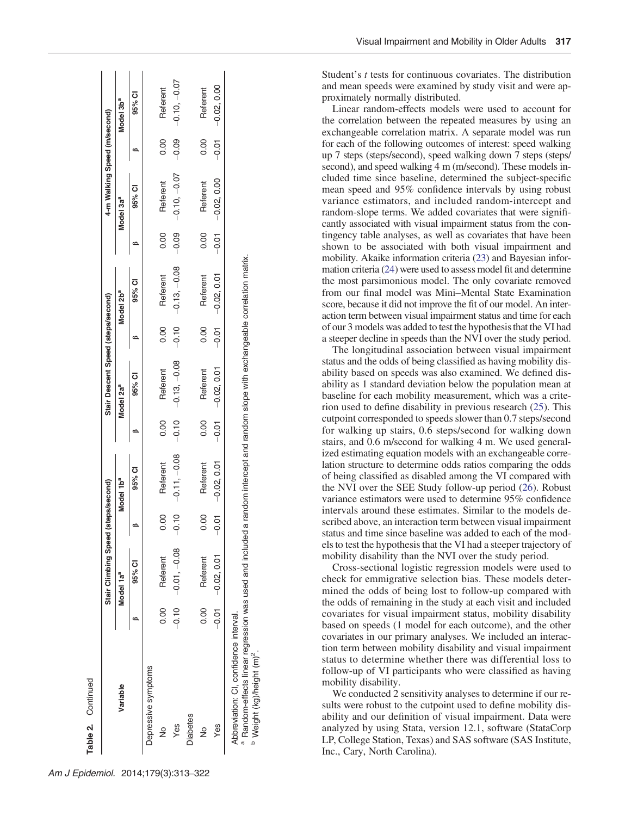|                                                                                                                                                                                                                                    |      | Stair Climbing Speed (steps/second) |               |                        |         | Stair Descent Speed (steps/second) |         |                        |               | 4-m Walking Speed (m/second) |         |                        |
|------------------------------------------------------------------------------------------------------------------------------------------------------------------------------------------------------------------------------------|------|-------------------------------------|---------------|------------------------|---------|------------------------------------|---------|------------------------|---------------|------------------------------|---------|------------------------|
| Variable                                                                                                                                                                                                                           |      | Model 1a <sup>a</sup>               |               | Model 1b <sup>a</sup>  |         | Model 2a <sup>a</sup>              |         | Model 2b <sup>a</sup>  |               | Model 3a <sup>a</sup>        |         | Model 3b <sup>a</sup>  |
|                                                                                                                                                                                                                                    |      | 95% CI                              |               | 95% CI                 |         | 95% CI                             |         | 95% CI                 |               | 95% CI                       |         | 95% CI                 |
| Depressive symptoms                                                                                                                                                                                                                |      |                                     |               |                        |         |                                    |         |                        |               |                              |         |                        |
| ž                                                                                                                                                                                                                                  | 0.00 | Referent                            | 0.00          | Referent               | 0.00    | Referent                           | 0.00    | Referent               | $\frac{0}{0}$ | Referent                     | 0.00    | Referent               |
| Yes                                                                                                                                                                                                                                |      | $-0.10 - 0.01 - 0.01$               | $-0.10$       | $-0.11, -0.08$         | $-0.10$ | $-0.13, -0.08$                     | $-0.10$ | $-0.13, -0.08$         | $-0.09$       | $-0.10, -0.07$               | $-0.09$ | $-0.10, -0.07$         |
| <b>Diabetes</b>                                                                                                                                                                                                                    |      |                                     |               |                        |         |                                    |         |                        |               |                              |         |                        |
| ž                                                                                                                                                                                                                                  | 0.00 | Referent                            | $\frac{0}{0}$ | Referent               | 0.00    | Referent                           | 0.00    | Referent               | 0.00          | Referent                     | 0.00    | Referent               |
| Yes                                                                                                                                                                                                                                |      | $-0.01$ $-0.02$ , 0.01              |               | $-0.01$ $-0.02$ , 0.01 |         | $-0.01$ $-0.02$ , 0.01             |         | $-0.01$ $-0.02$ , 0.01 |               | $-0.01$ $-0.02$ , 0.00       |         | $-0.01$ $-0.02$ , 0.00 |
| a Random-effects linear regression was used and included a random intercept and random slope with exchangeable correlation matrix.<br>Abbreviation: CI, confidence interval.<br><sup>b</sup> Weight (kg)/height (m) <sup>2</sup> . |      |                                     |               |                        |         |                                    |         |                        |               |                              |         |                        |

Student's *t* tests for continuous covariates. The distribution and mean speeds were examined by study visit and were approximately normally distributed.

Linear random-effects models were used to account for the correlation between the repeated measures by using an exchangeable correlation matrix. A separate model was run for each of the following outcomes of interest: speed walking up 7 steps (steps/second), speed walking down 7 steps (steps/ second), and speed walking 4 m (m/second). These models included time since baseline, determined the subject-specific mean speed and 95% confidence intervals by using robust variance estimators, and included random-intercept and random-slope terms. We added covariates that were significantly associated with visual impairment status from the contingency table analyses, as well as covariates that have been shown to be associated with both visual impairment and mobility. Akaike information criteria ([23](#page-9-0)) and Bayesian information criteria [\(24\)](#page-9-0) were used to assess model fit and determine the most parsimonious model. The only covariate removed from our final model was Mini–Mental State Examination score, because it did not improve the fit of our model. An interaction term between visual impairment status and time for each of our 3 models was added to test the hypothesis that the VI had a steeper decline in speeds than the NVI over the study period.

The longitudinal association between visual impairment status and the odds of being classified as having mobility disability based on speeds was also examined. We defined disability as 1 standard deviation below the population mean at baseline for each mobility measurement, which was a criterion used to define disability in previous research ([25\)](#page-9-0). This cutpoint corresponded to speeds slower than 0.7 steps/second for walking up stairs, 0.6 steps/second for walking down stairs, and 0.6 m/second for walking 4 m. We used generalized estimating equation models with an exchangeable correlation structure to determine odds ratios comparing the odds of being classified as disabled among the VI compared with the NVI over the SEE Study follow-up period [\(26](#page-9-0)). Robust variance estimators were used to determine 95% confidence intervals around these estimates. Similar to the models described above, an interaction term between visual impairment status and time since baseline was added to each of the models to test the hypothesis that the VI had a steeper trajectory of mobility disability than the NVI over the study period.

Cross-sectional logistic regression models were used to check for emmigrative selection bias. These models determined the odds of being lost to follow-up compared with the odds of remaining in the study at each visit and included covariates for visual impairment status, mobility disability based on speeds (1 model for each outcome), and the other covariates in our primary analyses. We included an interaction term between mobility disability and visual impairment status to determine whether there was differential loss to follow-up of VI participants who were classified as having mobility disability.

We conducted 2 sensitivity analyses to determine if our results were robust to the cutpoint used to define mobility disability and our definition of visual impairment. Data were analyzed by using Stata, version 12.1, software (StataCorp LP, College Station, Texas) and SAS software (SAS Institute, Inc., Cary, North Carolina).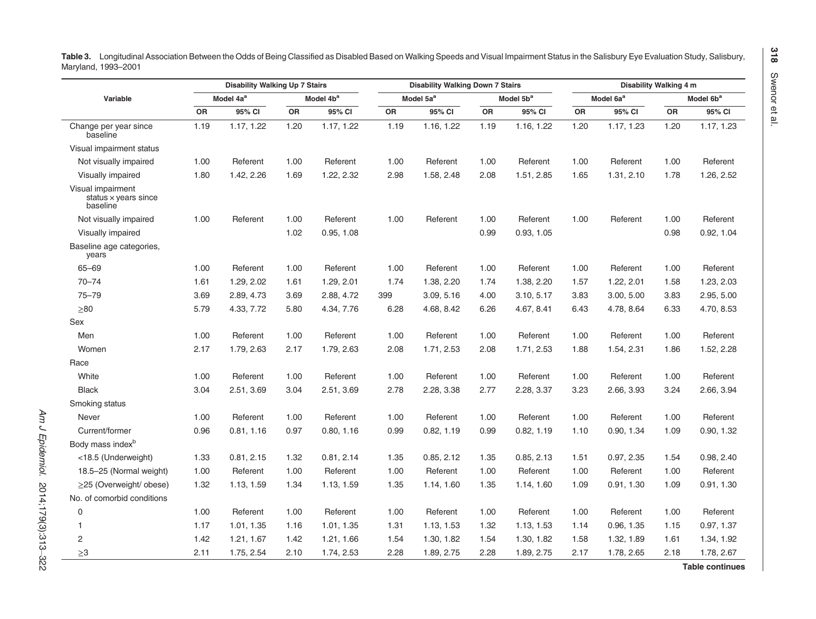|                                                              |      | <b>Disability Walking Up 7 Stairs</b> |           |                       |      | <b>Disability Walking Down 7 Stairs</b> |           |                       |      |                       | <b>Disability Walking 4 m</b> |                       |
|--------------------------------------------------------------|------|---------------------------------------|-----------|-----------------------|------|-----------------------------------------|-----------|-----------------------|------|-----------------------|-------------------------------|-----------------------|
| Variable                                                     |      | Model 4a <sup>a</sup>                 |           | Model 4b <sup>a</sup> |      | Model 5a <sup>a</sup>                   |           | Model 5b <sup>a</sup> |      | Model 6a <sup>a</sup> |                               | Model 6b <sup>a</sup> |
|                                                              | OR   | 95% CI                                | <b>OR</b> | 95% CI                | OR   | 95% CI                                  | <b>OR</b> | 95% CI                | OR   | 95% CI                | <b>OR</b>                     | 95% CI                |
| Change per year since<br>baseline                            | 1.19 | 1.17, 1.22                            | 1.20      | 1.17, 1.22            | 1.19 | 1.16, 1.22                              | 1.19      | 1.16, 1.22            | 1.20 | 1.17, 1.23            | 1.20                          | 1.17, 1.23            |
| Visual impairment status                                     |      |                                       |           |                       |      |                                         |           |                       |      |                       |                               |                       |
| Not visually impaired                                        | 1.00 | Referent                              | 1.00      | Referent              | 1.00 | Referent                                | 1.00      | Referent              | 1.00 | Referent              | 1.00                          | Referent              |
| Visually impaired                                            | 1.80 | 1.42, 2.26                            | 1.69      | 1.22, 2.32            | 2.98 | 1.58, 2.48                              | 2.08      | 1.51, 2.85            | 1.65 | 1.31, 2.10            | 1.78                          | 1.26, 2.52            |
| Visual impairment<br>status $\times$ years since<br>baseline |      |                                       |           |                       |      |                                         |           |                       |      |                       |                               |                       |
| Not visually impaired                                        | 1.00 | Referent                              | 1.00      | Referent              | 1.00 | Referent                                | 1.00      | Referent              | 1.00 | Referent              | 1.00                          | Referent              |
| Visually impaired                                            |      |                                       | 1.02      | 0.95, 1.08            |      |                                         | 0.99      | 0.93, 1.05            |      |                       | 0.98                          | 0.92, 1.04            |
| Baseline age categories,<br>years                            |      |                                       |           |                       |      |                                         |           |                       |      |                       |                               |                       |
| 65-69                                                        | 1.00 | Referent                              | 1.00      | Referent              | 1.00 | Referent                                | 1.00      | Referent              | 1.00 | Referent              | 1.00                          | Referent              |
| $70 - 74$                                                    | 1.61 | 1.29, 2.02                            | 1.61      | 1.29, 2.01            | 1.74 | 1.38, 2.20                              | 1.74      | 1.38, 2.20            | 1.57 | 1.22, 2.01            | 1.58                          | 1.23, 2.03            |
| $75 - 79$                                                    | 3.69 | 2.89, 4.73                            | 3.69      | 2.88, 4.72            | 399  | 3.09, 5.16                              | 4.00      | 3.10, 5.17            | 3.83 | 3.00, 5.00            | 3.83                          | 2.95, 5.00            |
| $\geq 80$                                                    | 5.79 | 4.33, 7.72                            | 5.80      | 4.34, 7.76            | 6.28 | 4.68, 8.42                              | 6.26      | 4.67, 8.41            | 6.43 | 4.78, 8.64            | 6.33                          | 4.70, 8.53            |
| Sex                                                          |      |                                       |           |                       |      |                                         |           |                       |      |                       |                               |                       |
| Men                                                          | 1.00 | Referent                              | 1.00      | Referent              | 1.00 | Referent                                | 1.00      | Referent              | 1.00 | Referent              | 1.00                          | Referent              |
| Women                                                        | 2.17 | 1.79, 2.63                            | 2.17      | 1.79, 2.63            | 2.08 | 1.71, 2.53                              | 2.08      | 1.71, 2.53            | 1.88 | 1.54, 2.31            | 1.86                          | 1.52, 2.28            |
| Race                                                         |      |                                       |           |                       |      |                                         |           |                       |      |                       |                               |                       |
| White                                                        | 1.00 | Referent                              | 1.00      | Referent              | 1.00 | Referent                                | 1.00      | Referent              | 1.00 | Referent              | 1.00                          | Referent              |
| <b>Black</b>                                                 | 3.04 | 2.51, 3.69                            | 3.04      | 2.51, 3.69            | 2.78 | 2.28, 3.38                              | 2.77      | 2.28, 3.37            | 3.23 | 2.66, 3.93            | 3.24                          | 2.66, 3.94            |
| Smoking status                                               |      |                                       |           |                       |      |                                         |           |                       |      |                       |                               |                       |
| Never                                                        | 1.00 | Referent                              | 1.00      | Referent              | 1.00 | Referent                                | 1.00      | Referent              | 1.00 | Referent              | 1.00                          | Referent              |
| Current/former                                               | 0.96 | 0.81, 1.16                            | 0.97      | 0.80, 1.16            | 0.99 | 0.82, 1.19                              | 0.99      | 0.82, 1.19            | 1.10 | 0.90, 1.34            | 1.09                          | 0.90, 1.32            |
| Body mass index <sup>b</sup>                                 |      |                                       |           |                       |      |                                         |           |                       |      |                       |                               |                       |
| <18.5 (Underweight)                                          | 1.33 | 0.81, 2.15                            | 1.32      | 0.81, 2.14            | 1.35 | 0.85, 2.12                              | 1.35      | 0.85, 2.13            | 1.51 | 0.97, 2.35            | 1.54                          | 0.98, 2.40            |
| 18.5-25 (Normal weight)                                      | 1.00 | Referent                              | 1.00      | Referent              | 1.00 | Referent                                | 1.00      | Referent              | 1.00 | Referent              | 1.00                          | Referent              |
| ≥25 (Overweight/ obese)                                      | 1.32 | 1.13, 1.59                            | 1.34      | 1.13, 1.59            | 1.35 | 1.14, 1.60                              | 1.35      | 1.14, 1.60            | 1.09 | 0.91, 1.30            | 1.09                          | 0.91, 1.30            |
| No. of comorbid conditions                                   |      |                                       |           |                       |      |                                         |           |                       |      |                       |                               |                       |
| 0                                                            | 1.00 | Referent                              | 1.00      | Referent              | 1.00 | Referent                                | 1.00      | Referent              | 1.00 | Referent              | 1.00                          | Referent              |
| 1                                                            | 1.17 | 1.01, 1.35                            | 1.16      | 1.01, 1.35            | 1.31 | 1.13, 1.53                              | 1.32      | 1.13, 1.53            | 1.14 | 0.96, 1.35            | 1.15                          | 0.97, 1.37            |
| $\overline{c}$                                               | 1.42 | 1.21, 1.67                            | 1.42      | 1.21, 1.66            | 1.54 | 1.30, 1.82                              | 1.54      | 1.30, 1.82            | 1.58 | 1.32, 1.89            | 1.61                          | 1.34, 1.92            |
| >3                                                           | 2.11 | 1.75, 2.54                            | 2.10      | 1.74, 2.53            | 2.28 | 1.89, 2.75                              | 2.28      | 1.89, 2.75            | 2.17 | 1.78, 2.65            | 2.18                          | 1.78, 2.67            |

<span id="page-5-0"></span>**Table 3.** Longitudinal Association Between the Odds of Being Classified as Disabled Based on Walking Speeds and Visual Impairment Status in the Salisbury Eye Evaluation Study, Salisbury, Maryland, 1993–2001

Table continues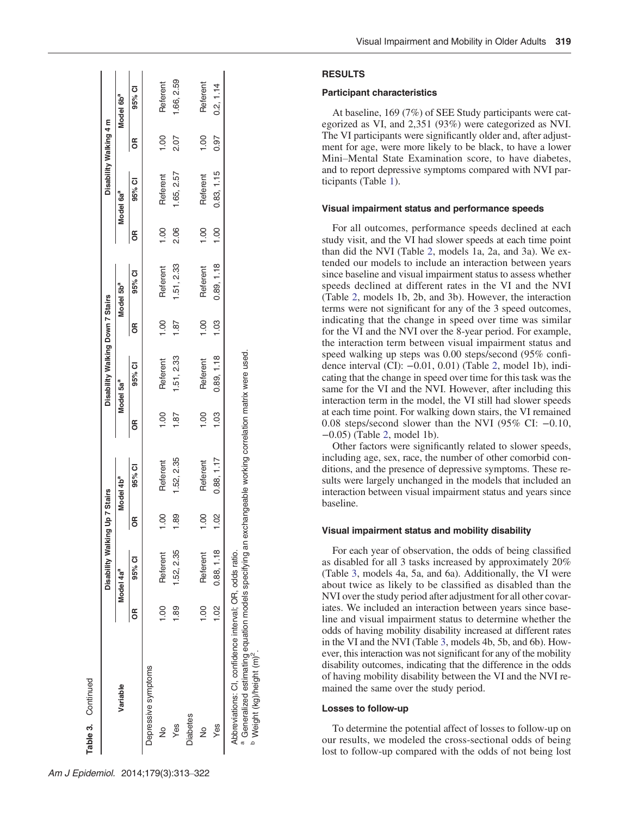|                                                                                                                                                                     |       | Disability Walking Up 7 Stairs |                |                       |               | Disability Walking Down 7 Stairs |                |                       |                |                       | Disability Walking 4 m |                       |
|---------------------------------------------------------------------------------------------------------------------------------------------------------------------|-------|--------------------------------|----------------|-----------------------|---------------|----------------------------------|----------------|-----------------------|----------------|-----------------------|------------------------|-----------------------|
| Variable                                                                                                                                                            |       | Model 4a <sup>a</sup>          |                | Model 4b <sup>a</sup> |               | Model 5a <sup>a</sup>            |                | Model 5b <sup>a</sup> |                | Model 6a <sup>a</sup> |                        | Model 6b <sup>a</sup> |
|                                                                                                                                                                     | δŘ    | 95% CI                         | g              | 95% CI                | g             | 95% CI                           | g              | 95% CI                | őβ             | 95% CI                | g                      | 95% CI                |
| Depressive symptoms                                                                                                                                                 |       |                                |                |                       |               |                                  |                |                       |                |                       |                        |                       |
| ž                                                                                                                                                                   | 0.001 | Referent                       | 00.1           | Referent              | 1.00          | Referent                         | $\frac{8}{10}$ | Referent              | 1.00           | Referent              | 1.00                   | Referent              |
| Yes                                                                                                                                                                 | 1.89  | 1.52, 2.35                     | $\frac{89}{1}$ | 1.52, 2.35            | 1.87          | 1.51, 2.33                       | 187            | 1.51, 2.33            | 2.06           | 1.65, 2.57            | 2.07                   | 1.66, 2.59            |
| <b>Diabetes</b>                                                                                                                                                     |       |                                |                |                       |               |                                  |                |                       |                |                       |                        |                       |
| ž                                                                                                                                                                   | 1.00  | Referent                       | 1.00           | Referent              | 1.00          | Referent                         | 1.00           | Referent              | 1.00           | Referent              | 1.00                   | Referent              |
| Yes                                                                                                                                                                 | 1.02  | 0.88, 1.18                     | 1.02           | 0.88, 1.17            | $\frac{3}{2}$ | 0.89, 1.18                       | $\frac{8}{10}$ | 0.89, 1.18            | $\frac{8}{10}$ | 0.83, 1.15            | 0.97                   | 0.2, 1.14             |
| a Generalized estimating equation models specifying an exchangeable working correlation matrix were used<br>Abbreviations: CI, confidence interval; OR, odds ratio. |       |                                |                |                       |               |                                  |                |                       |                |                       |                        |                       |

a Generalized estimating equation models specifying an exchangeable working correlation matrix were used.<br><sup>b</sup> Weight (kg)/height (m)<sup>2</sup>. ≤ פ ⊇  $\Omega$ 

.

# RESULTS

# Participant characteristics

At baseline, 169 (7%) of SEE Study participants were categorized as VI, and 2,351 (93%) were categorized as NVI. The VI participants were significantly older and, after adjustment for age, were more likely to be black, to have a lower Mini–Mental State Examination score, to have diabetes, and to report depressive symptoms compared with NVI participants (Table [1\)](#page-2-0).

# Visual impairment status and performance speeds

For all outcomes, performance speeds declined at each study visit, and the VI had slower speeds at each time point than did the NVI (Table [2](#page-3-0), models 1a, 2a, and 3a). We extended our models to include an interaction between years since baseline and visual impairment status to assess whether speeds declined at different rates in the VI and the NVI (Table [2,](#page-3-0) models 1b, 2b, and 3b). However, the interaction terms were not significant for any of the 3 speed outcomes, indicating that the change in speed over time was similar for the VI and the NVI over the 8-year period. For example, the interaction term between visual impairment status and speed walking up steps was 0.00 steps/second (95% confidence interval (CI): −0.01, 0.01) (Table [2](#page-3-0), model 1b), indicating that the change in speed over time for this task was the same for the VI and the NVI. However, after including this interaction term in the model, the VI still had slower speeds at each time point. For walking down stairs, the VI remained 0.08 steps/second slower than the NVI (95% CI: −0.10, −0.05) (Table [2,](#page-3-0) model 1b).

Other factors were significantly related to slower speeds, including age, sex, race, the number of other comorbid conditions, and the presence of depressive symptoms. These results were largely unchanged in the models that included an interaction between visual impairment status and years since baseline.

# Visual impairment status and mobility disability

For each year of observation, the odds of being classified as disabled for all 3 tasks increased by approximately 20% (Table [3,](#page-5-0) models 4a, 5a, and 6a). Additionally, the VI were about twice as likely to be classified as disabled than the NVI over the study period after adjustment for all other covariates. We included an interaction between years since baseline and visual impairment status to determine whether the odds of having mobility disability increased at different rates in the VI and the NVI (Table [3,](#page-5-0) models 4b, 5b, and 6b). However, this interaction was not significant for any of the mobility disability outcomes, indicating that the difference in the odds of having mobility disability between the VI and the NVI remained the same over the study period.

# Losses to follow-up

To determine the potential affect of losses to follow-up on our results, we modeled the cross-sectional odds of being lost to follow-up compared with the odds of not being lost

Table 3. Continued

Continued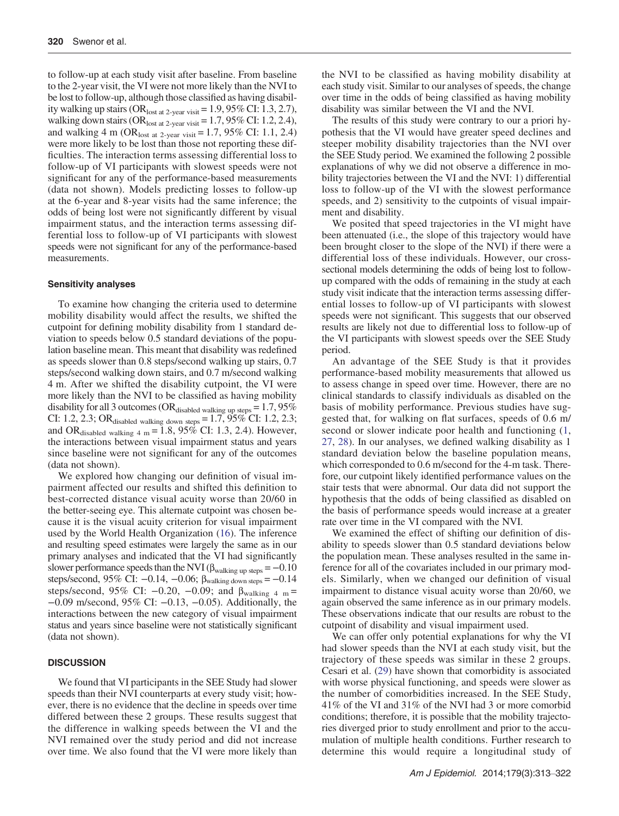to follow-up at each study visit after baseline. From baseline to the 2-year visit, the VI were not more likely than the NVI to be lost to follow-up, although those classified as having disability walking up stairs (OR<sub>lost at 2-year visit</sub> =  $1.9$ ,  $95\%$  CI:  $1.3$ ,  $2.7$ ), walking down stairs (OR<sub>lost at 2-year visit</sub> =  $1.7$ , 95% CI: 1.2, 2.4), and walking 4 m (OR<sub>lost at 2-year visit</sub> = 1.7, 95% CI: 1.1, 2.4) were more likely to be lost than those not reporting these difficulties. The interaction terms assessing differential loss to follow-up of VI participants with slowest speeds were not significant for any of the performance-based measurements (data not shown). Models predicting losses to follow-up at the 6-year and 8-year visits had the same inference; the odds of being lost were not significantly different by visual impairment status, and the interaction terms assessing differential loss to follow-up of VI participants with slowest speeds were not significant for any of the performance-based measurements.

#### Sensitivity analyses

To examine how changing the criteria used to determine mobility disability would affect the results, we shifted the cutpoint for defining mobility disability from 1 standard deviation to speeds below 0.5 standard deviations of the population baseline mean. This meant that disability was redefined as speeds slower than 0.8 steps/second walking up stairs, 0.7 steps/second walking down stairs, and 0.7 m/second walking 4 m. After we shifted the disability cutpoint, the VI were more likely than the NVI to be classified as having mobility disability for all 3 outcomes (OR disabled walking up steps =  $1.7$ , 95% CI: 1.2, 2.3; OR<sub>disabled walking down steps</sub> = 1.7, 95% CI: 1.2, 2.3; and OR<sub>disabled walking 4 m</sub> = 1.8, 95% CI: 1.3, 2.4). However, the interactions between visual impairment status and years since baseline were not significant for any of the outcomes (data not shown).

We explored how changing our definition of visual impairment affected our results and shifted this definition to best-corrected distance visual acuity worse than 20/60 in the better-seeing eye. This alternate cutpoint was chosen because it is the visual acuity criterion for visual impairment used by the World Health Organization ([16\)](#page-8-0). The inference and resulting speed estimates were largely the same as in our primary analyses and indicated that the VI had significantly slower performance speeds than the NVI ( $\beta_{\text{walking up steps}} = -0.10$ steps/second, 95% CI:  $-0.14$ ,  $-0.06$ ;  $\beta_{\text{walking down steps}} = -0.14$ steps/second, 95% CI:  $-0.20$ ,  $-0.09$ ; and  $\beta_{\text{walking 4 m}} =$ −0.09 m/second, 95% CI: −0.13, −0.05). Additionally, the interactions between the new category of visual impairment status and years since baseline were not statistically significant (data not shown).

#### **DISCUSSION**

We found that VI participants in the SEE Study had slower speeds than their NVI counterparts at every study visit; however, there is no evidence that the decline in speeds over time differed between these 2 groups. These results suggest that the difference in walking speeds between the VI and the NVI remained over the study period and did not increase over time. We also found that the VI were more likely than the NVI to be classified as having mobility disability at each study visit. Similar to our analyses of speeds, the change over time in the odds of being classified as having mobility disability was similar between the VI and the NVI.

The results of this study were contrary to our a priori hypothesis that the VI would have greater speed declines and steeper mobility disability trajectories than the NVI over the SEE Study period. We examined the following 2 possible explanations of why we did not observe a difference in mobility trajectories between the VI and the NVI: 1) differential loss to follow-up of the VI with the slowest performance speeds, and 2) sensitivity to the cutpoints of visual impairment and disability.

We posited that speed trajectories in the VI might have been attenuated (i.e., the slope of this trajectory would have been brought closer to the slope of the NVI) if there were a differential loss of these individuals. However, our crosssectional models determining the odds of being lost to followup compared with the odds of remaining in the study at each study visit indicate that the interaction terms assessing differential losses to follow-up of VI participants with slowest speeds were not significant. This suggests that our observed results are likely not due to differential loss to follow-up of the VI participants with slowest speeds over the SEE Study period.

An advantage of the SEE Study is that it provides performance-based mobility measurements that allowed us to assess change in speed over time. However, there are no clinical standards to classify individuals as disabled on the basis of mobility performance. Previous studies have suggested that, for walking on flat surfaces, speeds of 0.6 m/ second or slower indicate poor health and functioning [\(1](#page-8-0), [27,](#page-9-0) [28](#page-9-0)). In our analyses, we defined walking disability as 1 standard deviation below the baseline population means, which corresponded to 0.6 m/second for the 4-m task. Therefore, our cutpoint likely identified performance values on the stair tests that were abnormal. Our data did not support the hypothesis that the odds of being classified as disabled on the basis of performance speeds would increase at a greater rate over time in the VI compared with the NVI.

We examined the effect of shifting our definition of disability to speeds slower than 0.5 standard deviations below the population mean. These analyses resulted in the same inference for all of the covariates included in our primary models. Similarly, when we changed our definition of visual impairment to distance visual acuity worse than 20/60, we again observed the same inference as in our primary models. These observations indicate that our results are robust to the cutpoint of disability and visual impairment used.

We can offer only potential explanations for why the VI had slower speeds than the NVI at each study visit, but the trajectory of these speeds was similar in these 2 groups. Cesari et al. ([29\)](#page-9-0) have shown that comorbidity is associated with worse physical functioning, and speeds were slower as the number of comorbidities increased. In the SEE Study, 41% of the VI and 31% of the NVI had 3 or more comorbid conditions; therefore, it is possible that the mobility trajectories diverged prior to study enrollment and prior to the accumulation of multiple health conditions. Further research to determine this would require a longitudinal study of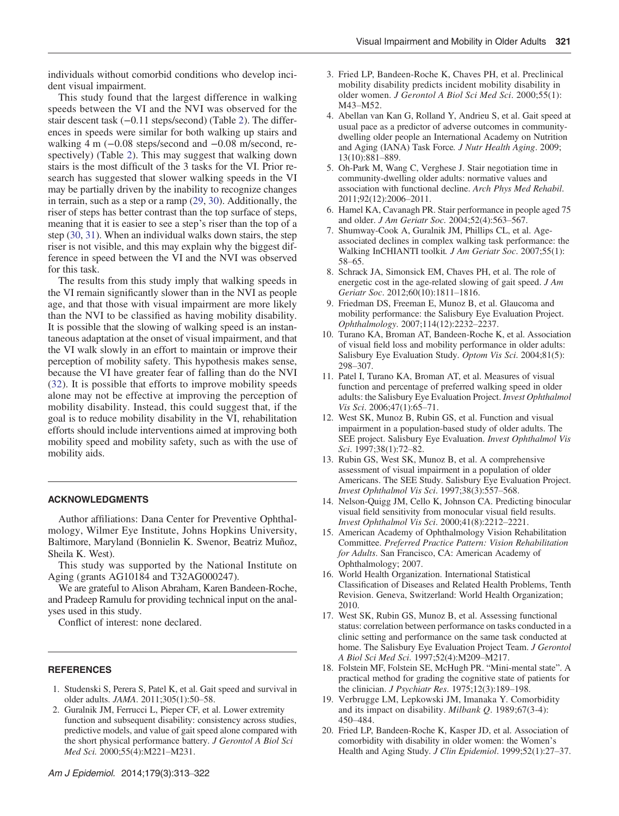<span id="page-8-0"></span>individuals without comorbid conditions who develop incident visual impairment.

This study found that the largest difference in walking speeds between the VI and the NVI was observed for the stair descent task (−0.11 steps/second) (Table [2](#page-3-0)). The differences in speeds were similar for both walking up stairs and walking 4 m (−0.08 steps/second and −0.08 m/second, respectively) (Table [2\)](#page-3-0). This may suggest that walking down stairs is the most difficult of the 3 tasks for the VI. Prior research has suggested that slower walking speeds in the VI may be partially driven by the inability to recognize changes in terrain, such as a step or a ramp [\(29](#page-9-0), [30](#page-9-0)). Additionally, the riser of steps has better contrast than the top surface of steps, meaning that it is easier to see a step's riser than the top of a step [\(30](#page-9-0), [31](#page-9-0)). When an individual walks down stairs, the step riser is not visible, and this may explain why the biggest difference in speed between the VI and the NVI was observed for this task.

The results from this study imply that walking speeds in the VI remain significantly slower than in the NVI as people age, and that those with visual impairment are more likely than the NVI to be classified as having mobility disability. It is possible that the slowing of walking speed is an instantaneous adaptation at the onset of visual impairment, and that the VI walk slowly in an effort to maintain or improve their perception of mobility safety. This hypothesis makes sense, because the VI have greater fear of falling than do the NVI [\(32\)](#page-9-0). It is possible that efforts to improve mobility speeds alone may not be effective at improving the perception of mobility disability. Instead, this could suggest that, if the goal is to reduce mobility disability in the VI, rehabilitation efforts should include interventions aimed at improving both mobility speed and mobility safety, such as with the use of mobility aids.

#### ACKNOWLEDGMENTS

Author affiliations: Dana Center for Preventive Ophthalmology, Wilmer Eye Institute, Johns Hopkins University, Baltimore, Maryland (Bonnielin K. Swenor, Beatriz Muñoz, Sheila K. West).

This study was supported by the National Institute on Aging (grants AG10184 and T32AG000247).

We are grateful to Alison Abraham, Karen Bandeen-Roche, and Pradeep Ramulu for providing technical input on the analyses used in this study.

Conflict of interest: none declared.

### **REFERENCES**

- 1. Studenski S, Perera S, Patel K, et al. Gait speed and survival in older adults. JAMA. 2011;305(1):50–58.
- 2. Guralnik JM, Ferrucci L, Pieper CF, et al. Lower extremity function and subsequent disability: consistency across studies, predictive models, and value of gait speed alone compared with the short physical performance battery. J Gerontol A Biol Sci Med Sci. 2000;55(4):M221–M231.
- 3. Fried LP, Bandeen-Roche K, Chaves PH, et al. Preclinical mobility disability predicts incident mobility disability in older women. J Gerontol A Biol Sci Med Sci. 2000;55(1): M43–M52.
- 4. Abellan van Kan G, Rolland Y, Andrieu S, et al. Gait speed at usual pace as a predictor of adverse outcomes in communitydwelling older people an International Academy on Nutrition and Aging (IANA) Task Force. J Nutr Health Aging. 2009; 13(10):881–889.
- 5. Oh-Park M, Wang C, Verghese J. Stair negotiation time in community-dwelling older adults: normative values and association with functional decline. Arch Phys Med Rehabil. 2011;92(12):2006–2011.
- 6. Hamel KA, Cavanagh PR. Stair performance in people aged 75 and older. J Am Geriatr Soc. 2004;52(4):563–567.
- 7. Shumway-Cook A, Guralnik JM, Phillips CL, et al. Ageassociated declines in complex walking task performance: the Walking InCHIANTI toolkit. J Am Geriatr Soc. 2007;55(1): 58–65.
- 8. Schrack JA, Simonsick EM, Chaves PH, et al. The role of energetic cost in the age-related slowing of gait speed. J Am Geriatr Soc. 2012;60(10):1811–1816.
- 9. Friedman DS, Freeman E, Munoz B, et al. Glaucoma and mobility performance: the Salisbury Eye Evaluation Project. Ophthalmology. 2007;114(12):2232–2237.
- 10. Turano KA, Broman AT, Bandeen-Roche K, et al. Association of visual field loss and mobility performance in older adults: Salisbury Eye Evaluation Study. Optom Vis Sci. 2004;81(5): 298–307.
- 11. Patel I, Turano KA, Broman AT, et al. Measures of visual function and percentage of preferred walking speed in older adults: the Salisbury Eye Evaluation Project. Invest Ophthalmol Vis Sci. 2006;47(1):65–71.
- 12. West SK, Munoz B, Rubin GS, et al. Function and visual impairment in a population-based study of older adults. The SEE project. Salisbury Eye Evaluation. Invest Ophthalmol Vis Sci. 1997;38(1):72–82.
- 13. Rubin GS, West SK, Munoz B, et al. A comprehensive assessment of visual impairment in a population of older Americans. The SEE Study. Salisbury Eye Evaluation Project. Invest Ophthalmol Vis Sci. 1997;38(3):557–568.
- 14. Nelson-Quigg JM, Cello K, Johnson CA. Predicting binocular visual field sensitivity from monocular visual field results. Invest Ophthalmol Vis Sci. 2000;41(8):2212–2221.
- 15. American Academy of Ophthalmology Vision Rehabilitation Committee. Preferred Practice Pattern: Vision Rehabilitation for Adults. San Francisco, CA: American Academy of Ophthalmology; 2007.
- 16. World Health Organization. International Statistical Classification of Diseases and Related Health Problems, Tenth Revision. Geneva, Switzerland: World Health Organization; 2010.
- 17. West SK, Rubin GS, Munoz B, et al. Assessing functional status: correlation between performance on tasks conducted in a clinic setting and performance on the same task conducted at home. The Salisbury Eye Evaluation Project Team. J Gerontol A Biol Sci Med Sci. 1997;52(4):M209–M217.
- 18. Folstein MF, Folstein SE, McHugh PR. "Mini-mental state". A practical method for grading the cognitive state of patients for the clinician. J Psychiatr Res. 1975;12(3):189–198.
- 19. Verbrugge LM, Lepkowski JM, Imanaka Y. Comorbidity and its impact on disability. Milbank Q. 1989;67(3-4): 450–484.
- 20. Fried LP, Bandeen-Roche K, Kasper JD, et al. Association of comorbidity with disability in older women: the Women's Health and Aging Study. J Clin Epidemiol. 1999;52(1):27–37.